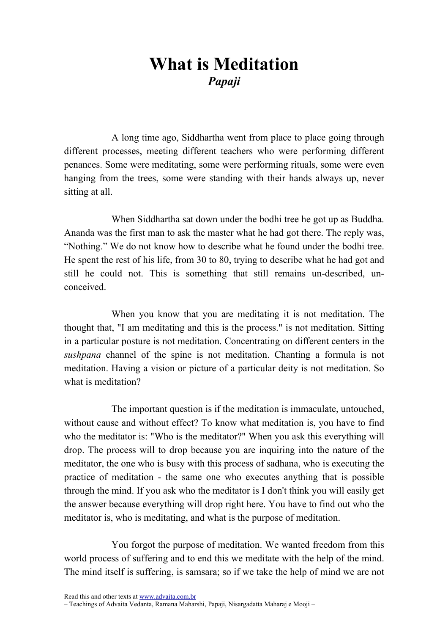## What is Meditation Papaji

A long time ago, Siddhartha went from place to place going through different processes, meeting different teachers who were performing different penances. Some were meditating, some were performing rituals, some were even hanging from the trees, some were standing with their hands always up, never sitting at all.

When Siddhartha sat down under the bodhi tree he got up as Buddha. Ananda was the first man to ask the master what he had got there. The reply was, "Nothing." We do not know how to describe what he found under the bodhi tree. He spent the rest of his life, from 30 to 80, trying to describe what he had got and still he could not. This is something that still remains un-described, unconceived.

When you know that you are meditating it is not meditation. The thought that, "I am meditating and this is the process." is not meditation. Sitting in a particular posture is not meditation. Concentrating on different centers in the sushpana channel of the spine is not meditation. Chanting a formula is not meditation. Having a vision or picture of a particular deity is not meditation. So what is meditation?

The important question is if the meditation is immaculate, untouched, without cause and without effect? To know what meditation is, you have to find who the meditator is: "Who is the meditator?" When you ask this everything will drop. The process will to drop because you are inquiring into the nature of the meditator, the one who is busy with this process of sadhana, who is executing the practice of meditation - the same one who executes anything that is possible through the mind. If you ask who the meditator is I don't think you will easily get the answer because everything will drop right here. You have to find out who the meditator is, who is meditating, and what is the purpose of meditation.

You forgot the purpose of meditation. We wanted freedom from this world process of suffering and to end this we meditate with the help of the mind. The mind itself is suffering, is samsara; so if we take the help of mind we are not

Read this and other texts at www.advaita.com.br

<sup>–</sup> Teachings of Advaita Vedanta, Ramana Maharshi, Papaji, Nisargadatta Maharaj e Mooji –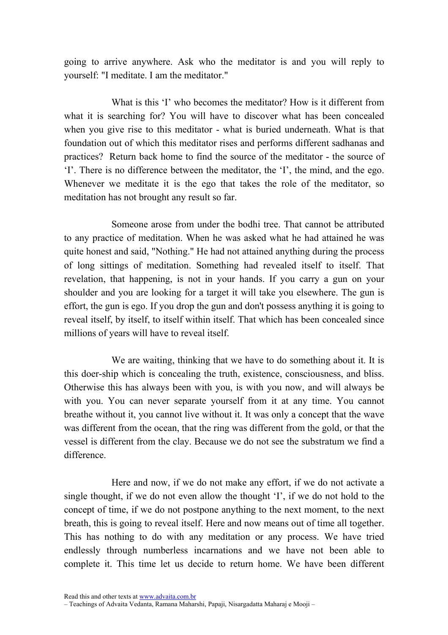going to arrive anywhere. Ask who the meditator is and you will reply to yourself: "I meditate. I am the meditator."

What is this 'I' who becomes the meditator? How is it different from what it is searching for? You will have to discover what has been concealed when you give rise to this meditator - what is buried underneath. What is that foundation out of which this meditator rises and performs different sadhanas and practices? Return back home to find the source of the meditator - the source of 'I'. There is no difference between the meditator, the 'I', the mind, and the ego. Whenever we meditate it is the ego that takes the role of the meditator, so meditation has not brought any result so far.

Someone arose from under the bodhi tree. That cannot be attributed to any practice of meditation. When he was asked what he had attained he was quite honest and said, "Nothing." He had not attained anything during the process of long sittings of meditation. Something had revealed itself to itself. That revelation, that happening, is not in your hands. If you carry a gun on your shoulder and you are looking for a target it will take you elsewhere. The gun is effort, the gun is ego. If you drop the gun and don't possess anything it is going to reveal itself, by itself, to itself within itself. That which has been concealed since millions of years will have to reveal itself.

We are waiting, thinking that we have to do something about it. It is this doer-ship which is concealing the truth, existence, consciousness, and bliss. Otherwise this has always been with you, is with you now, and will always be with you. You can never separate yourself from it at any time. You cannot breathe without it, you cannot live without it. It was only a concept that the wave was different from the ocean, that the ring was different from the gold, or that the vessel is different from the clay. Because we do not see the substratum we find a difference.

Here and now, if we do not make any effort, if we do not activate a single thought, if we do not even allow the thought 'I', if we do not hold to the concept of time, if we do not postpone anything to the next moment, to the next breath, this is going to reveal itself. Here and now means out of time all together. This has nothing to do with any meditation or any process. We have tried endlessly through numberless incarnations and we have not been able to complete it. This time let us decide to return home. We have been different

<sup>–</sup> Teachings of Advaita Vedanta, Ramana Maharshi, Papaji, Nisargadatta Maharaj e Mooji –